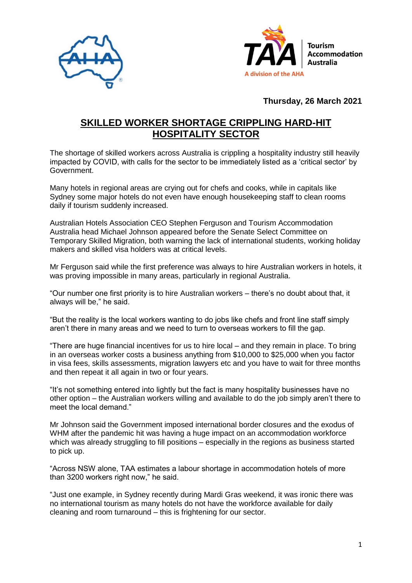



## **Thursday, 26 March 2021**

## **SKILLED WORKER SHORTAGE CRIPPLING HARD-HIT HOSPITALITY SECTOR**

The shortage of skilled workers across Australia is crippling a hospitality industry still heavily impacted by COVID, with calls for the sector to be immediately listed as a 'critical sector' by Government.

Many hotels in regional areas are crying out for chefs and cooks, while in capitals like Sydney some major hotels do not even have enough housekeeping staff to clean rooms daily if tourism suddenly increased.

Australian Hotels Association CEO Stephen Ferguson and Tourism Accommodation Australia head Michael Johnson appeared before the Senate Select Committee on Temporary Skilled Migration, both warning the lack of international students, working holiday makers and skilled visa holders was at critical levels.

Mr Ferguson said while the first preference was always to hire Australian workers in hotels, it was proving impossible in many areas, particularly in regional Australia.

"Our number one first priority is to hire Australian workers – there's no doubt about that, it always will be," he said.

"But the reality is the local workers wanting to do jobs like chefs and front line staff simply aren't there in many areas and we need to turn to overseas workers to fill the gap.

"There are huge financial incentives for us to hire local – and they remain in place. To bring in an overseas worker costs a business anything from \$10,000 to \$25,000 when you factor in visa fees, skills assessments, migration lawyers etc and you have to wait for three months and then repeat it all again in two or four years.

"It's not something entered into lightly but the fact is many hospitality businesses have no other option – the Australian workers willing and available to do the job simply aren't there to meet the local demand."

Mr Johnson said the Government imposed international border closures and the exodus of WHM after the pandemic hit was having a huge impact on an accommodation workforce which was already struggling to fill positions – especially in the regions as business started to pick up.

"Across NSW alone, TAA estimates a labour shortage in accommodation hotels of more than 3200 workers right now," he said.

"Just one example, in Sydney recently during Mardi Gras weekend, it was ironic there was no international tourism as many hotels do not have the workforce available for daily cleaning and room turnaround – this is frightening for our sector.